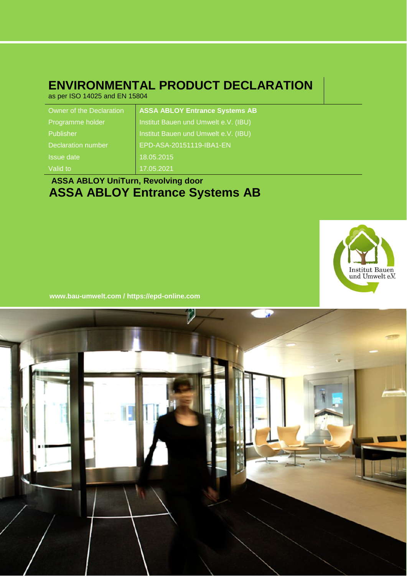### **ENVIRONMENTAL PRODUCT DECLARATION**

as per ISO 14025 and EN 15804

| Owner of the Declaration | <b>ASSA ABLOY Entrance Systems AB</b> |
|--------------------------|---------------------------------------|
| Programme holder         | Institut Bauen und Umwelt e.V. (IBU)  |
| Publisher                | Institut Bauen und Umwelt e.V. (IBU)  |
| Declaration number       | EPD-ASA-20151119-IBA1-EN              |
| <b>Issue date</b>        | 18.05.2015                            |
| Valid to                 | 17.05.2021                            |
|                          |                                       |

### **ASSA ABLOY UniTurn, Revolving door ASSA ABLOY Entrance Systems AB**



**www.bau -umwelt.com / https://epd-online.com**

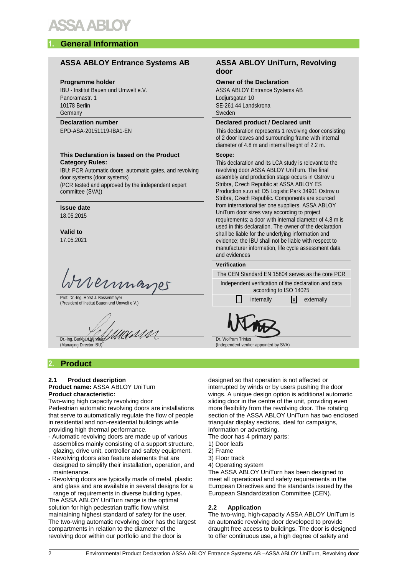### **1. General Information**

#### **ASSA ABLOY Entrance Systems AB ASSA ABLOY UniTurn, Revolving**

#### **Programme holder**

IBU - Institut Bauen und Umwelt e.V. Panoramastr. 1 10178 Berlin Germany

#### **Declaration number**

EPD-ASA-20151119-IBA1-EN

#### **This Declaration is based on the Product Category Rules:**

IBU: PCR Automatic doors, automatic gates, and revolving door systems (door systems) (PCR tested and approved by the independent expert

committee (SVA))

#### **Issue date** 18.05.2015

**Valid to** 17.05.2021

rvermages

Prof. Dr.-Ing. Horst J. Bossenmayer Prof. Dr.-Ing. Horst J. Bossenmayer<br>(President of Institut Bauen und Umwelt e.V.) internally internally internally internally externally

un 1111 Dr.-Ing. Burkhart Lehmann

(Managing Director IBU)

#### **2. Product**

#### **2.1 Product description**

#### **Product name:** ASSA ABLOY UniTurn **Product characteristic:**

Two-wing high capacity revolving door Pedestrian automatic revolving doors are installations that serve to automatically regulate the flow of people in residential and non-residential buildings while providing high thermal performance.

- Automatic revolving doors are made up of various assemblies mainly consisting of a support structure, glazing, drive unit, controller and safety equipment.
- Revolving doors also feature elements that are designed to simplify their installation, operation, and maintenance.
- Revolving doors are typically made of metal, plastic and glass and are available in several designs for a range of requirements in diverse building types.

The ASSA ABLOY UniTurn range is the optimal solution for high pedestrian traffic flow whilst maintaining highest standard of safety for the user. The two-wing automatic revolving door has the largest compartments in relation to the diameter of the revolving door within our portfolio and the door is

### **door**

**Owner of the Declaration** ASSA ABLOY Entrance Systems AB Lodjursgatan 10 SE-261 44 Landskrona Sweden

#### **Declared product / Declared unit**

This declaration represents 1 revolving door consisting of 2 door leaves and surrounding frame with internal diameter of 4.8 m and internal height of 2.2 m.

#### **Scope:**

This declaration and its LCA study is relevant to the revolving door ASSA ABLOY UniTurn. The final assembly and production stage occurs in Ostrov u Stribra, Czech Republic at ASSA ABLOY ES Production s.r.o at: D5 Logistic Park 34901 Ostrov u Stribra, Czech Republic. Components are sourced from international tier one suppliers. ASSA ABLOY UniTurn door sizes vary according to project requirements; a door with internal diameter of 4.8 m is used in this declaration. The owner of the declaration shall be liable for the underlying information and evidence; the IBU shall not be liable with respect to manufacturer information, life cycle assessment data and evidences

#### **Verification**

The CEN Standard EN 15804 serves as the core PCR

Independent verification of the declaration and data according to ISO 14025

Dr. Wolfram Trinius (Independent verifier appointed by SVA)

designed so that operation is not affected or interrupted by winds or by users pushing the door wings. A unique design option is additional automatic sliding door in the centre of the unit, providing even more flexibility from the revolving door. The rotating section of the ASSA ABLOY UniTurn has two enclosed triangular display sections, ideal for campaigns, information or advertising.

The door has 4 primary parts:

1) Door leafs

2) Frame

- 3) Floor track
- 4) Operating system

The ASSA ABLOY UniTurn has been designed to meet all operational and safety requirements in the European Directives and the standards issued by the European Standardization Committee (CEN).

#### **2.2 Application**

The two-wing, high-capacity ASSA ABLOY UniTurn is an automatic revolving door developed to provide draught free access to buildings. The door is designed to offer continuous use, a high degree of safety and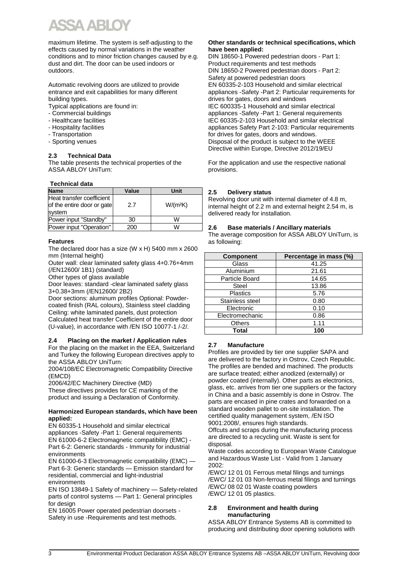maximum lifetime. The system is self-adjusting to the effects caused by normal variations in the weather conditions and to minor friction changes caused by e.g. dust and dirt. The door can be used indoors or outdoors.

Automatic revolving doors are utilized to provide entrance and exit capabilities for many different building types.

- Typical applications are found in:
- Commercial buildings
- Healthcare facilities
- Hospitality facilities
- Transportation
- Sporting venues

#### **2.3 Technical Data**

The table presents the technical properties of the ASSA ABLOY UniTurn:

#### **Technical data**

| <b>Name</b>                                                       | Value | Unit       |
|-------------------------------------------------------------------|-------|------------|
| Heat transfer coefficient<br>of the entire door or gate<br>system | 2.7   | $W/(m^2K)$ |
| Power input "Standby"                                             | 30    | W          |
| Power input "Operation"                                           | 200   | W          |

#### **Features**

The declared door has a size (W x H) 5400 mm x 2600 mm (Internal height)

Outer wall: clear laminated safety glass 4+0.76+4mm (/EN12600/ 1B1) (standard)

Other types of glass available

Door leaves: standard -clear laminated safety glass 3+0.38+3mm (/EN12600/ 2B2)

Door sections: aluminum profiles Optional: Powdercoated finish (RAL colours), Stainless steel cladding Ceiling: white laminated panels, dust protection Calculated heat transfer Coefficient of the entire door (U-value), in accordance with /EN ISO 10077-1 /-2/.

#### **2.4 Placing on the market / Application rules**

For the placing on the market in the EEA, Switzerland and Turkey the following European directives apply to the ASSA ABLOY UniTurn:

2004/108/EC Electromagnetic Compatibility Directive (EMCD)

2006/42/EC Machinery Directive (MD) These directives provides for CE marking of the product and issuing a Declaration of Conformity.

#### **Harmonized European standards, which have been applied:**

EN 60335-1 Household and similar electrical appliances -Safety -Part 1: General requirements EN 61000-6-2 Electromagnetic compatibility (EMC) - Part 6-2: Generic standards - Immunity for industrial environments

EN 61000-6-3 Electromagnetic compatibility (EMC) — Part 6-3: Generic standards — Emission standard for residential, commercial and light-industrial environments

EN ISO 13849-1 Safety of machinery — Safety-related parts of control systems — Part 1: General principles for design

EN 16005 Power operated pedestrian doorsets - Safety in use -Requirements and test methods.

#### **Other standards or technical specifications, which have been applied:**

DIN 18650-1 Powered pedestrian doors - Part 1: Product requirements and test methods DIN 18650-2 Powered pedestrian doors - Part 2: Safety at powered pedestrian doors EN 60335-2-103 Household and similar electrical appliances -Safety -Part 2: Particular requirements for drives for gates, doors and windows IEC 600335-1 Household and similar electrical appliances -Safety -Part 1: General requirements IEC 60335-2-103 Household and similar electrical appliances Safety Part 2-103: Particular requirements for drives for gates, doors and windows. Disposal of the product is subject to the WEEE Directive within Europe, Directive 2012/19/EU

For the application and use the respective national provisions.

#### **2.5 Delivery status**

Revolving door unit with internal diameter of 4.8 m, internal height of 2.2 m and external height 2.54 m, is delivered ready for installation.

#### **2.6 Base materials / Ancillary materials**

The average composition for ASSA ABLOY UniTurn, is as following:

| <b>Component</b> | Percentage in mass (%) |
|------------------|------------------------|
| Glass            | 41.25                  |
| Aluminium        | 21.61                  |
| Particle Board   | 14.65                  |
| Steel            | 13.86                  |
| <b>Plastics</b>  | 5.76                   |
| Stainless steel  | 0.80                   |
| Electronic       | 0.10                   |
| Electromechanic  | 0.86                   |
| <b>Others</b>    | 1.11                   |
| Total            | 100                    |

#### **2.7 Manufacture**

Profiles are provided by tier one supplier SAPA and are delivered to the factory in Ostrov, Czech Republic. The profiles are bended and machined. The products are surface treated; either anodized (externally) or powder coated (internally). Other parts as electronics, glass, etc. arrives from tier one suppliers or the factory in China and a basic assembly is done in Ostrov. The parts are encased in pine crates and forwarded on a standard wooden pallet to on-site installation. The certified quality management system, /EN ISO 9001:2008/, ensures high standards.

Offcuts and scraps during the manufacturing process are directed to a recycling unit. Waste is sent for disposal.

Waste codes according to European Waste Catalogue and Hazardous Waste List - Valid from 1 January 2002:

/EWC/ 12 01 01 Ferrous metal filings and turnings /EWC/ 12 01 03 Non-ferrous metal filings and turnings /EWC/ 08 02 01 Waste coating powders /EWC/ 12 01 05 plastics.

#### **2.8 Environment and health during manufacturing**

ASSA ABLOY Entrance Systems AB is committed to producing and distributing door opening solutions with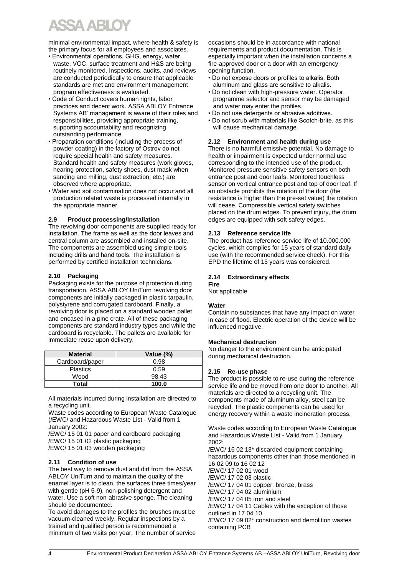# X ARI

minimal environmental impact, where health & safety is the primary focus for all employees and associates.

- Environmental operations, GHG, energy, water, waste, VOC, surface treatment and H&S are being routinely monitored. Inspections, audits, and reviews are conducted periodically to ensure that applicable standards are met and environment management program effectiveness is evaluated.
- Code of Conduct covers human rights, labor practices and decent work. ASSA ABLOY Entrance Systems AB' management is aware of their roles and responsibilities, providing appropriate training, supporting accountability and recognizing outstanding performance.
- Preparation conditions (including the process of powder coating) in the factory of Ostrov do not require special health and safety measures. Standard health and safety measures (work gloves, hearing protection, safety shoes, dust mask when sanding and milling, dust extraction, etc.) are observed where appropriate.
- Water and soil contamination does not occur and all production related waste is processed internally in the appropriate manner.

#### **2.9 Product processing/Installation**

The revolving door components are supplied ready for installation. The frame as well as the door leaves and central column are assembled and installed on-site. The components are assembled using simple tools including drills and hand tools. The installation is performed by certified installation technicians.

#### **2.10 Packaging**

Packaging exists for the purpose of protection during transportation. ASSA ABLOY UniTurn revolving door components are initially packaged in plastic tarpaulin, polystyrene and corrugated cardboard. Finally, a revolving door is placed on a standard wooden pallet and encased in a pine crate. All of these packaging components are standard industry types and while the cardboard is recyclable. The pallets are available for immediate reuse upon delivery.

| <b>Material</b> | Value (%) |
|-----------------|-----------|
| Cardboard/paper | 0.98      |
| <b>Plastics</b> | 0.59      |
| Wood            | 98.43     |
| Total           | 100.0     |

All materials incurred during installation are directed to a recycling unit.

Waste codes according to European Waste Catalogue (/EWC/ and Hazardous Waste List - Valid from 1 January 2002:

/EWC/ 15 01 01 paper and cardboard packaging /EWC/ 15 01 02 plastic packaging

/EWC/ 15 01 03 wooden packaging

#### **2.11 Condition of use**

The best way to remove dust and dirt from the ASSA ABLOY UniTurn and to maintain the quality of the enamel layer is to clean, the surfaces three times/year with gentle (pH 5-9), non-polishing detergent and water. Use a soft non-abrasive sponge. The cleaning should be documented.

To avoid damages to the profiles the brushes must be vacuum-cleaned weekly. Regular inspections by a trained and qualified person is recommended a minimum of two visits per year. The number of service occasions should be in accordance with national requirements and product documentation. This is especially important when the installation concerns a fire-approved door or a door with an emergency opening function.

- Do not expose doors or profiles to alkalis. Both aluminum and glass are sensitive to alkalis.
- Do not clean with high-pressure water. Operator, programme selector and sensor may be damaged and water may enter the profiles.
- Do not use detergents or abrasive additives.
- Do not scrub with materials like Scotch-brite, as this will cause mechanical damage.

#### **2.12 Environment and health during use**

There is no harmful emissive potential. No damage to health or impairment is expected under normal use corresponding to the intended use of the product. Monitored pressure sensitive safety sensors on both entrance post and door leafs. Monitored touchless sensor on vertical entrance post and top of door leaf. If an obstacle prohibits the rotation of the door (the resistance is higher than the pre-set value) the rotation will cease. Compressible vertical safety switches placed on the drum edges. To prevent injury, the drum edges are equipped with soft safety edges.

#### **2.13 Reference service life**

The product has reference service life of 10.000.000 cycles, which complies for 15 years of standard daily use (with the recommended service check). For this EPD the lifetime of 15 years was considered.

#### **2.14 Extraordinary effects Fire**

Not applicable

#### **Water**

Contain no substances that have any impact on water in case of flood. Electric operation of the device will be influenced negative.

#### **Mechanical destruction**

No danger to the environment can be anticipated during mechanical destruction.

#### **2.15 Re-use phase**

The product is possible to re-use during the reference service life and be moved from one door to another. All materials are directed to a recycling unit. The components made of aluminum alloy, steel can be recycled. The plastic components can be used for energy recovery within a waste incineration process.

Waste codes according to European Waste Catalogue and Hazardous Waste List - Valid from 1 January 2002: /EWC/ 16 02 13\* discarded equipment containing hazardous components other than those mentioned in 16 02 09 to 16 02 12 /EWC/ 17 02 01 wood /EWC/ 17 02 03 plastic /EWC/ 17 04 01 copper, bronze, brass /EWC/ 17 04 02 aluminium /EWC/ 17 04 05 iron and steel /EWC/ 17 04 11 Cables with the exception of those outlined in 17 04 10

/EWC/ 17 09 02\* construction and demolition wastes containing PCB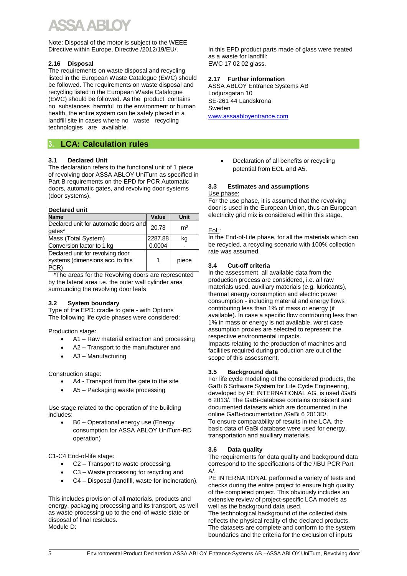Note: Disposal of the motor is subject to the WEEE Directive within Europe, Directive /2012/19/EU/.

#### **2.16 Disposal**

The requirements on waste disposal and recycling listed in the European Waste Catalogue (EWC) should be followed. The requirements on waste disposal and recycling listed in the European Waste Catalogue (EWC) should be followed. As the product contains no substances harmful to the environment or human health, the entire system can be safely placed in a landfill site in cases where no waste recycling technologies are available.

#### **3. LCA: Calculation rules**

#### **3.1 Declared Unit**

The declaration refers to the functional unit of 1 piece of revolving door ASSA ABLOY UniTurn as specified in Part B requirements on the EPD for PCR Automatic doors, automatic gates, and revolving door systems (door systems).

#### **Declared unit**

| <b>Name</b>                                                                        | Value   | Unit           |
|------------------------------------------------------------------------------------|---------|----------------|
| Declared unit for automatic doors and<br>gates*                                    | 20.73   | m <sup>2</sup> |
| Mass (Total System)                                                                | 2287.88 | ka             |
| Conversion factor to 1 kg                                                          | 0.0004  |                |
| Declared unit for revolving door<br>systems (dimensions acc. to this<br><b>PCR</b> | 1       | piece          |

 \*The areas for the Revolving doors are represented by the lateral area i.e. the outer wall cylinder area surrounding the revolving door leafs

#### **3.2 System boundary**

Type of the EPD: cradle to gate - with Options The following life cycle phases were considered:

Production stage:

- A1 Raw material extraction and processing
- A2 Transport to the manufacturer and
- A3 Manufacturing

Construction stage:

- A4 Transport from the gate to the site
- A5 Packaging waste processing

Use stage related to the operation of the building includes:

• B6 – Operational energy use (Energy consumption for ASSA ABLOY UniTurn-RD operation)

C1-C4 End-of-life stage:

- C2 Transport to waste processing,
- C3 Waste processing for recycling and
- C4 Disposal (landfill, waste for incineration).

This includes provision of all materials, products and energy, packaging processing and its transport, as well as waste processing up to the end-of waste state or disposal of final residues. Module D:

In this EPD product parts made of glass were treated as a waste for landfill: EWC 17 02 02 glass.

#### **2.17 Further information**

ASSA ABLOY Entrance Systems AB Lodjursgatan 10 SE-261 44 Landskrona Sweden

[www.assaabloyentrance.com](http://www.assaabloyentrance.com/)

• Declaration of all benefits or recycling potential from EOL and A5.

#### **3.3 Estimates and assumptions**

#### Use phase:

For the use phase, it is assumed that the revolving door is used in the European Union, thus an European electricity grid mix is considered within this stage.

#### EoL:

In the End-of-Life phase, for all the materials which can be recycled, a recycling scenario with 100% collection rate was assumed.

#### **3.4 Cut-off criteria**

In the assessment, all available data from the production process are considered, i.e. all raw materials used, auxiliary materials (e.g. lubricants), thermal energy consumption and electric power consumption - including material and energy flows contributing less than 1% of mass or energy (if available). In case a specific flow contributing less than 1% in mass or energy is not available, worst case assumption proxies are selected to represent the respective environmental impacts. Impacts relating to the production of machines and facilities required during production are out of the scope of this assessment.

#### **3.5 Background data**

For life cycle modeling of the considered products, the GaBi 6 Software System for Life Cycle Engineering, developed by PE INTERNATIONAL AG, is used /GaBi 6 2013/. The GaBi-database contains consistent and documented datasets which are documented in the online GaBi-documentation /GaBi 6 2013D/. To ensure comparability of results in the LCA, the basic data of GaBi database were used for energy, transportation and auxiliary materials.

#### **3.6 Data quality**

The requirements for data quality and background data correspond to the specifications of the /IBU PCR Part  $\Delta/$ 

PE INTERNATIONAL performed a variety of tests and checks during the entire project to ensure high quality of the completed project. This obviously includes an extensive review of project-specific LCA models as well as the background data used.

The technological background of the collected data reflects the physical reality of the declared products. The datasets are complete and conform to the system boundaries and the criteria for the exclusion of inputs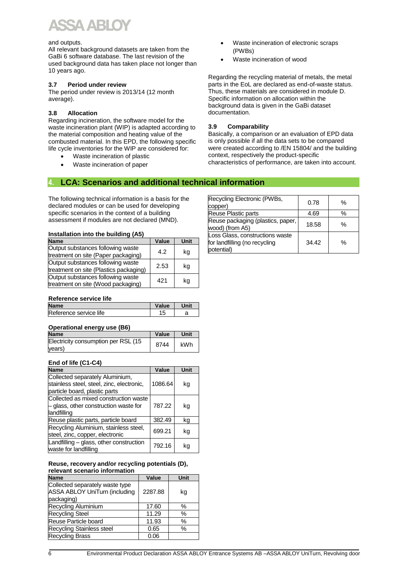# **VAR**

#### and outputs.

All relevant background datasets are taken from the GaBi 6 software database. The last revision of the used background data has taken place not longer than 10 years ago.

#### **3.7 Period under review**

The period under review is 2013/14 (12 month average).

#### **3.8 Allocation**

Regarding incineration, the software model for the waste incineration plant (WIP) is adapted according to the material composition and heating value of the combusted material. In this EPD, the following specific life cycle inventories for the WIP are considered for:

- Waste incineration of plastic
- Waste incineration of paper
- Waste incineration of electronic scraps (PWBs)
- Waste incineration of wood

Regarding the recycling material of metals, the metal parts in the EoL are declared as end-of-waste status. Thus, these materials are considered in module D. Specific information on allocation within the background data is given in the GaBi dataset documentation.

#### **3.9 Comparability**

Basically, a comparison or an evaluation of EPD data is only possible if all the data sets to be compared were created according to /EN 15804/ and the building context, respectively the product-specific characteristics of performance, are taken into account.

#### **4. LCA: Scenarios and additional technical information**

The following technical information is a basis for the declared modules or can be used for developing specific scenarios in the context of a building assessment if modules are not declared (MND).

#### **Installation into the building (A5)**

| <b>Name</b>                                                                 | Value | Unit |
|-----------------------------------------------------------------------------|-------|------|
| Output substances following waste<br>treatment on site (Paper packaging)    | 4.2   | kg   |
| Output substances following waste<br>treatment on site (Plastics packaging) | 2.53  | kg   |
| Output substances following waste<br>treatment on site (Wood packaging)     | 421   | kg   |

#### Recycling Electronic (PWBs, Recycling Electronic (PyvDs,  $\left[\begin{array}{c}0.78\ 0.78\end{array}\right]$  % Reuse Plastic parts 14.69 % Reuse packaging (plastics, paper, Reuse packaging (plastics, paper, 18.58 | %<br>wood) (from A5) Loss Glass, constructions waste for landfilling (no recycling potential) 34.42 %

#### **Reference service life**

| <b>Name</b>            | Value | Unit |
|------------------------|-------|------|
| Reference service life | 15    |      |
|                        |       |      |

#### **Operational energy use (B6)**

| <b>Name</b>                                   | Value | Unit |
|-----------------------------------------------|-------|------|
| Electricity consumption per RSL (15<br>years) | 8744  | kWh  |

#### **End of life (C1-C4)**

| <b>Name</b>                                                                                                   | Value   | Unit |
|---------------------------------------------------------------------------------------------------------------|---------|------|
| Collected separately Aluminium,<br>stainless steel, steel, zinc, electronic,<br>particle board, plastic parts | 1086.64 | kg   |
| Collected as mixed construction waste<br>- glass, other construction waste for<br>landfilling                 | 787.22  | kg   |
| Reuse plastic parts, particle board                                                                           | 382.49  | kg   |
| Recycling Aluminium, stainless steel,<br>steel, zinc, copper, electronic                                      | 699.21  | kg   |
| Landfilling - glass, other construction<br>waste for landfilling                                              | 792.16  | kq   |

#### **Reuse, recovery and/or recycling potentials (D), relevant scenario information**

| <b>Name</b>                                                                           | Value   | Unit |
|---------------------------------------------------------------------------------------|---------|------|
| Collected separately waste type<br><b>ASSA ABLOY UniTurn (including</b><br>packaging) | 2287.88 | kg   |
| Recycling Aluminium                                                                   | 17.60   | %    |
| <b>Recycling Steel</b>                                                                | 11.29   | $\%$ |
| Reuse Particle board                                                                  | 11.93   | %    |
| Recycling Stainless steel                                                             | 0.65    | %    |
| <b>Recycling Brass</b>                                                                | 0.06    |      |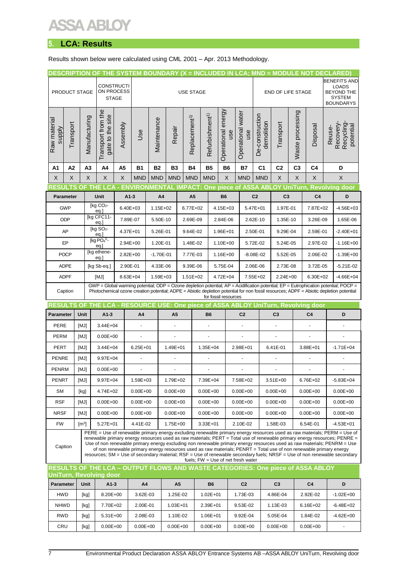### Y

### **5. LCA: Results**

Results shown below were calculated using CML 2001 – Apr. 2013 Methodology.

|                                                                                                            |                  |                                                                                      |                                          |              |                |               |                       |                           |                |                                                          |           |                                    |                               |                          |                  | DESCRIPTION OF THE SYSTEM BOUNDARY (X = INCLUDED IN LCA; MND = MODULE NOT DECLARED)                                            |  |                                                                                                                                                                                                                                                                                                                                                                                                                                                                                                                               |
|------------------------------------------------------------------------------------------------------------|------------------|--------------------------------------------------------------------------------------|------------------------------------------|--------------|----------------|---------------|-----------------------|---------------------------|----------------|----------------------------------------------------------|-----------|------------------------------------|-------------------------------|--------------------------|------------------|--------------------------------------------------------------------------------------------------------------------------------|--|-------------------------------------------------------------------------------------------------------------------------------------------------------------------------------------------------------------------------------------------------------------------------------------------------------------------------------------------------------------------------------------------------------------------------------------------------------------------------------------------------------------------------------|
|                                                                                                            |                  | <b>CONSTRUCTI</b><br>ON PROCESS<br>PRODUCT STAGE<br><b>USE STAGE</b><br><b>STAGE</b> |                                          |              |                |               |                       |                           |                |                                                          |           |                                    |                               | <b>END OF LIFE STAGE</b> |                  |                                                                                                                                |  | <b>BENEFITS AND</b><br><b>LOADS</b><br><b>BEYOND THE</b><br><b>SYSTEM</b>                                                                                                                                                                                                                                                                                                                                                                                                                                                     |
| Raw material<br>supply                                                                                     | Transport        | Manufacturing                                                                        | Transport from the<br>gate to the site   | Assembly     | Use            | Maintenance   | Repair                | Replacement <sup>1)</sup> |                | Operational energy<br>Refurbishment <sup>1)</sup><br>use |           | Operational water<br>use           | De-construction<br>demolition | Transport                | Waste processing | Disposal                                                                                                                       |  | <b>BOUNDARYS</b><br>Recovery-<br>Recycling-<br>potential                                                                                                                                                                                                                                                                                                                                                                                                                                                                      |
| A1                                                                                                         | А2               | A <sub>3</sub>                                                                       | A4                                       | А5           | <b>B1</b>      | <b>B2</b>     | B3                    | <b>B4</b>                 |                | <b>B5</b>                                                | <b>B6</b> | Β7                                 | C <sub>1</sub>                | C <sub>2</sub>           | C <sub>3</sub>   | C4                                                                                                                             |  | D                                                                                                                                                                                                                                                                                                                                                                                                                                                                                                                             |
| X                                                                                                          | X                | X                                                                                    | X                                        | X            | <b>MND</b>     | <b>MND</b>    | <b>MND</b>            | <b>MND</b>                |                | <b>MND</b>                                               | X         | <b>MND</b>                         | <b>MND</b>                    | $\mathsf X$              | X                | X                                                                                                                              |  | X                                                                                                                                                                                                                                                                                                                                                                                                                                                                                                                             |
|                                                                                                            |                  |                                                                                      |                                          |              |                |               |                       |                           |                |                                                          |           |                                    |                               |                          |                  |                                                                                                                                |  | RESULTS OF THE LCA - ENVIRONMENTAL IMPACT: One piece of ASSA ABLOY UniTurn, Revolving door                                                                                                                                                                                                                                                                                                                                                                                                                                    |
|                                                                                                            | <b>Parameter</b> |                                                                                      | Unit                                     | $A1-3$       |                | A4            |                       | A <sub>5</sub>            |                | <b>B6</b>                                                |           |                                    | C <sub>2</sub>                | C <sub>3</sub>           |                  | C <sub>4</sub>                                                                                                                 |  | D                                                                                                                                                                                                                                                                                                                                                                                                                                                                                                                             |
|                                                                                                            | <b>GWP</b>       |                                                                                      | [kg CO <sub>2</sub> -                    | $6.40E + 03$ |                | 1.15E+02      |                       | 6.77E+02                  |                | 4.15E+03                                                 |           |                                    | 5.47E+01                      | 1.97E-01                 |                  | 7.87E+02                                                                                                                       |  | $-4.56E + 03$                                                                                                                                                                                                                                                                                                                                                                                                                                                                                                                 |
|                                                                                                            | <b>ODP</b>       |                                                                                      | eq.<br>[kg CFC11-<br>eq.]                | 7.89E-07     |                | 5.50E-10      |                       | 2.69E-09                  |                | 2.84E-06                                                 |           |                                    | 2.62E-10                      | 1.35E-10                 |                  | 3.26E-09                                                                                                                       |  | 1.65E-06                                                                                                                                                                                                                                                                                                                                                                                                                                                                                                                      |
|                                                                                                            | AP               |                                                                                      | [kg SO <sub>2</sub> -<br>eq.             | 4.37E+01     |                | 5.26E-01      |                       | 9.64E-02                  |                | 1.96E+01                                                 |           |                                    | 2.50E-01                      | 9.29E-04                 |                  | 2.59E-01                                                                                                                       |  | $-2.40E + 01$                                                                                                                                                                                                                                                                                                                                                                                                                                                                                                                 |
|                                                                                                            | EP               |                                                                                      | [ $kg$ $PO43$ -<br>eq.                   | 2.94E+00     |                | 1.20E-01      |                       | 1.48E-02                  |                | 1.10E+00                                                 |           |                                    | 5.72E-02                      | 5.24E-05                 |                  | 2.97E-02                                                                                                                       |  | $-1.16E + 00$                                                                                                                                                                                                                                                                                                                                                                                                                                                                                                                 |
|                                                                                                            | <b>POCP</b>      |                                                                                      | [kg ethene-<br>eq.                       | $2.82E + 00$ |                | $-1.70E - 01$ |                       | 7.77E-03                  |                | 1.16E+00                                                 |           |                                    | $-8.08E - 02$                 | 5.52E-05                 |                  | 2.06E-02                                                                                                                       |  | $-1.39E + 00$                                                                                                                                                                                                                                                                                                                                                                                                                                                                                                                 |
|                                                                                                            | ADPE             |                                                                                      | [kg Sb-eq.]                              | 2.90E-01     |                | 4.33E-06      |                       | 9.39E-06                  |                | 5.75E-04                                                 |           |                                    | 2.06E-06                      | 2.73E-08                 |                  | 3.72E-05                                                                                                                       |  | $-5.21E - 02$                                                                                                                                                                                                                                                                                                                                                                                                                                                                                                                 |
|                                                                                                            | <b>ADPF</b>      |                                                                                      | [MJ]                                     | 8.63E+04     |                | 1.59E+03      |                       | $1.51E + 02$              |                | 4.72E+04                                                 |           |                                    | 7.55E+02                      | $2.24E + 00$             |                  | 6.30E+02                                                                                                                       |  | $-4.66E + 04$                                                                                                                                                                                                                                                                                                                                                                                                                                                                                                                 |
|                                                                                                            | Caption          |                                                                                      |                                          |              |                |               |                       |                           |                |                                                          |           |                                    |                               |                          |                  |                                                                                                                                |  | GWP = Global warming potential; ODP = Ozone depletion potential; AP = Acidification potential; EP = Eutrophication potential; POCP =<br>Photochemical ozone creation potential; ADPE = Abiotic depletion potential for non fossil resources; ADPF = Abiotic depletion potential                                                                                                                                                                                                                                               |
| for fossil resources<br>RESULTS OF THE LCA - RESOURCE USE: One piece of ASSA ABLOY UniTurn, Revolving door |                  |                                                                                      |                                          |              |                |               |                       |                           |                |                                                          |           |                                    |                               |                          |                  |                                                                                                                                |  |                                                                                                                                                                                                                                                                                                                                                                                                                                                                                                                               |
|                                                                                                            |                  |                                                                                      |                                          |              |                |               |                       |                           |                |                                                          |           |                                    |                               |                          |                  |                                                                                                                                |  |                                                                                                                                                                                                                                                                                                                                                                                                                                                                                                                               |
| Parameter                                                                                                  |                  | Unit                                                                                 | $A1-3$                                   |              | A4             |               | A <sub>5</sub>        |                           |                | <b>B6</b>                                                |           | C <sub>2</sub>                     |                               | C <sub>3</sub>           |                  | C <sub>4</sub>                                                                                                                 |  | D                                                                                                                                                                                                                                                                                                                                                                                                                                                                                                                             |
| PERE                                                                                                       |                  | [MJ]                                                                                 | 3.44E+04                                 |              |                |               |                       |                           |                |                                                          |           |                                    |                               |                          |                  |                                                                                                                                |  |                                                                                                                                                                                                                                                                                                                                                                                                                                                                                                                               |
| <b>PERM</b>                                                                                                |                  | [MJ]                                                                                 | $0.00E + 00$                             |              | $\blacksquare$ |               | $\tilde{\phantom{a}}$ |                           | $\blacksquare$ |                                                          |           | $\blacksquare$                     |                               | $\Box$                   |                  | $\overline{\phantom{a}}$                                                                                                       |  |                                                                                                                                                                                                                                                                                                                                                                                                                                                                                                                               |
| PERT                                                                                                       |                  | [MJ]                                                                                 | 3.44E+04                                 |              | $6.25E + 01$   |               | 1.49E+01              |                           | 1.35E+04       |                                                          |           | 2.98E+01                           |                               | 6.41E-01                 |                  | 3.88E+01                                                                                                                       |  | $-1.71E + 04$                                                                                                                                                                                                                                                                                                                                                                                                                                                                                                                 |
| <b>PENRE</b>                                                                                               |                  | [MJ]                                                                                 | $9.97E + 04$                             |              | $\overline{a}$ |               | ÷,                    |                           | ä,             |                                                          |           | $\ddot{\phantom{1}}$               |                               | $\blacksquare$           |                  |                                                                                                                                |  |                                                                                                                                                                                                                                                                                                                                                                                                                                                                                                                               |
| PENRM                                                                                                      |                  | [MJ]                                                                                 | $0.00E + 00$                             |              | $\overline{a}$ |               | $\blacksquare$        |                           | ÷,             |                                                          |           | $\blacksquare$                     |                               | $\blacksquare$           |                  | $\blacksquare$                                                                                                                 |  |                                                                                                                                                                                                                                                                                                                                                                                                                                                                                                                               |
| <b>PENRT</b>                                                                                               |                  | [MJ]                                                                                 | 9.97E+04                                 |              | 1.59E+03       |               | 1.79E+02              |                           | 7.39E+04       |                                                          |           | 7.58E+02                           |                               | 3.51E+00                 |                  | 6.76E+02                                                                                                                       |  | $-5.83E + 04$                                                                                                                                                                                                                                                                                                                                                                                                                                                                                                                 |
| <b>SM</b>                                                                                                  |                  | [kg]                                                                                 | 4.74E+02                                 |              | $0.00E + 00$   |               | $0.00E + 00$          |                           | $0.00E + 00$   |                                                          |           | $0.00E + 00$                       |                               | $0.00E + 00$             |                  | $0.00E + 00$                                                                                                                   |  | $0.00E + 00$                                                                                                                                                                                                                                                                                                                                                                                                                                                                                                                  |
| <b>RSF</b>                                                                                                 |                  | [MJ]                                                                                 | $0.00E + 00$                             |              | $0.00E + 00$   |               | $0.00E + 00$          |                           |                | $0.00E + 00$                                             |           | $0.00E + 00$                       |                               | $0.00E + 00$             |                  | $0.00E + 00$                                                                                                                   |  | $0.00E + 00$                                                                                                                                                                                                                                                                                                                                                                                                                                                                                                                  |
| <b>NRSF</b>                                                                                                |                  | [MJ]                                                                                 | $0.00E + 00$                             |              | $0.00E + 00$   |               | $0.00E + 00$          |                           | $0.00E + 00$   |                                                          |           | $0.00E + 00$                       |                               | $0.00E + 00$             |                  | $0.00E + 00$                                                                                                                   |  | $0.00E + 00$                                                                                                                                                                                                                                                                                                                                                                                                                                                                                                                  |
| <b>FW</b><br>Caption                                                                                       |                  | $\mathsf{[m^3]}$                                                                     | $5.27E + 01$                             |              | 4.41E-02       |               | 1.75E+00              |                           | 3.33E+01       |                                                          |           | 2.10E-02                           |                               | 1.58E-03                 |                  | 6.54E-01<br>of non renewable primary energy resources used as raw materials; PENRT = Total use of non renewable primary energy |  | $-4.53E + 01$<br>PERE = Use of renewable primary energy excluding renewable primary energy resources used as raw materials; PERM = Use of<br>renewable primary energy resources used as raw materials; PERT = Total use of renewable primary energy resources; PENRE =<br>Use of non renewable primary energy excluding non renewable primary energy resources used as raw materials; PENRM = Use<br>resources; SM = Use of secondary material; RSF = Use of renewable secondary fuels; NRSF = Use of non renewable secondary |
|                                                                                                            |                  |                                                                                      |                                          |              |                |               |                       |                           |                |                                                          |           | fuels; FW = Use of net fresh water |                               |                          |                  | RESULTS OF THE LCA - OUTPUT FLOWS AND WASTE CATEGORIES: One piece of ASSA ABLOY                                                |  |                                                                                                                                                                                                                                                                                                                                                                                                                                                                                                                               |
| Parameter                                                                                                  |                  | Unit                                                                                 | <b>UniTurn, Revolving door</b><br>$A1-3$ |              | A4             |               | A5                    |                           |                | <b>B6</b>                                                |           | C <sub>2</sub>                     |                               | C <sub>3</sub>           |                  | C4                                                                                                                             |  | D                                                                                                                                                                                                                                                                                                                                                                                                                                                                                                                             |
| <b>HWD</b>                                                                                                 |                  | [kg]                                                                                 | 8.20E+00                                 |              | 3.62E-03       |               | 1.25E-02              |                           |                | $1.02E + 01$                                             |           | 1.73E-03                           |                               | 4.86E-04                 |                  | 2.92E-02                                                                                                                       |  | $-1.02E + 00$                                                                                                                                                                                                                                                                                                                                                                                                                                                                                                                 |
| <b>NHWD</b>                                                                                                |                  | [kg]                                                                                 | 7.70E+02                                 |              | 2.00E-01       |               | $1.03E + 01$          |                           |                | 2.39E+01                                                 |           | 9.53E-02                           |                               | 1.13E-03                 |                  | 6.16E+02                                                                                                                       |  | $-6.48E + 02$                                                                                                                                                                                                                                                                                                                                                                                                                                                                                                                 |
| <b>RWD</b>                                                                                                 |                  | [kg]                                                                                 | 5.31E+00                                 |              | 2.08E-03       |               | 1.10E-02              |                           |                | 1.06E+01                                                 |           | 9.92E-04                           |                               | 5.05E-04                 |                  | 1.84E-02                                                                                                                       |  | $-4.62E + 00$                                                                                                                                                                                                                                                                                                                                                                                                                                                                                                                 |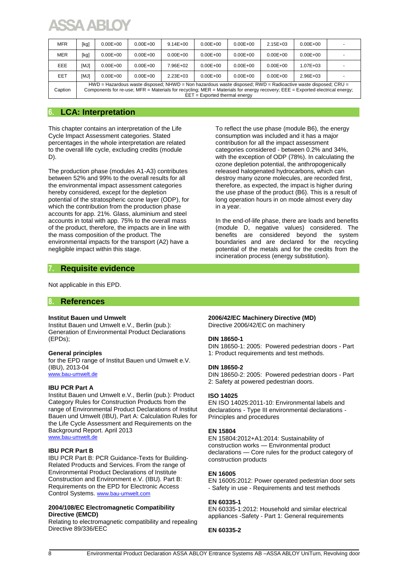| <b>MFR</b> | [kg]        | $0.00E + 00$ | $0.00E + 00$ | $9.14E + 00$ | $0.00E + 00$                    | $0.00E + 00$ | $2.15E + 0.3$ | $0.00E + 00$                                                                                                                                                                                                                                 |  |
|------------|-------------|--------------|--------------|--------------|---------------------------------|--------------|---------------|----------------------------------------------------------------------------------------------------------------------------------------------------------------------------------------------------------------------------------------------|--|
| MER        | [kg]        | $0.00E + 00$ | $0.00E + 00$ | $0.00E + 00$ | $0.00E + 00$                    | $0.00E + 00$ | $0.00E + 00$  | $0.00E + 00$                                                                                                                                                                                                                                 |  |
| <b>EEE</b> | [MJ]        | $0.00E + 00$ | $0.00E + 00$ | 7.96E+02     | $0.00E + 00$                    | $0.00E + 00$ | $0.00E + 00$  | $1.07E + 0.3$                                                                                                                                                                                                                                |  |
| <b>EET</b> | <b>IMJ1</b> | $0.00E + 00$ | $0.00E + 00$ | $2.23E + 03$ | $0.00E + 00$                    | $0.00E + 00$ | $0.00E + 00$  | $2.96E + 03$                                                                                                                                                                                                                                 |  |
| Caption    |             |              |              |              | $EET = Exported thermal energy$ |              |               | HWD = Hazardous waste disposed; NHWD = Non hazardous waste disposed; RWD = Radioactive waste disposed; CRU =<br>Components for re-use; MFR = Materials for recycling; MER = Materials for energy recovery; EEE = Exported electrical energy; |  |

#### **6. LCA: Interpretation**

This chapter contains an interpretation of the Life Cycle Impact Assessment categories. Stated percentages in the whole interpretation are related to the overall life cycle, excluding credits (module D).

The production phase (modules A1-A3) contributes between 52% and 99% to the overall results for all the environmental impact assessment categories hereby considered, except for the depletion potential of the stratospheric ozone layer (ODP), for which the contribution from the production phase accounts for app. 21%. Glass, aluminium and steel accounts in total with app. 75% to the overall mass of the product, therefore, the impacts are in line with the mass composition of the product. The environmental impacts for the transport (A2) have a negligible impact within this stage.

To reflect the use phase (module B6), the energy consumption was included and it has a major contribution for all the impact assessment categories considered - between 0.2% and 34%, with the exception of ODP (78%). In calculating the ozone depletion potential, the anthropogenically released halogenated hydrocarbons, which can destroy many ozone molecules, are recorded first, therefore, as expected, the impact is higher during the use phase of the product (B6). This is a result of long operation hours in on mode almost every day in a year.

In the end-of-life phase, there are loads and benefits (module D, negative values) considered. The benefits are considered beyond the system boundaries and are declared for the recycling potential of the metals and for the credits from the incineration process (energy substitution).

#### **7. Requisite evidence**

Not applicable in this EPD.

#### **8. References**

#### **Institut Bauen und Umwelt**

Institut Bauen und Umwelt e.V., Berlin (pub.): Generation of Environmental Product Declarations (EPDs);

#### **General principles**

for the EPD range of Institut Bauen und Umwelt e.V. (IBU), 2013-04 [www.bau-umwelt.de](http://www.bau-umwelt.de/)

#### **IBU PCR Part A**

Institut Bauen und Umwelt e.V., Berlin (pub.): Product Category Rules for Construction Products from the range of Environmental Product Declarations of Institut Bauen und Umwelt (IBU), Part A: Calculation Rules for the Life Cycle Assessment and Requirements on the Background Report. April 2013 [www.bau-umwelt.de](http://www.bau-umwelt.de/)

#### **IBU PCR Part B**

IBU PCR Part B: PCR Guidance-Texts for Building-Related Products and Services. From the range of Environmental Product Declarations of Institute Construction and Environment e.V. (IBU). Part B: Requirements on the EPD for Electronic Access Control Systems. [www.bau-umwelt.com](http://www.bau-umwelt.com/)

#### **2004/108/EC Electromagnetic Compatibility Directive (EMCD)**

Relating to electromagnetic compatibility and repealing Directive 89/336/EEC

#### **2006/42/EC Machinery Directive (MD)**

Directive 2006/42/EC on machinery

#### **DIN 18650-1**

DIN 18650-1: 2005: Powered pedestrian doors - Part 1: Product requirements and test methods.

#### **DIN 18650-2**

DIN 18650-2: 2005: Powered pedestrian doors - Part 2: Safety at powered pedestrian doors.

#### **ISO 14025**

EN ISO 14025:2011-10: Environmental labels and declarations - Type III environmental declarations - Principles and procedures

#### **EN 15804**

EN 15804:2012+A1:2014: Sustainability of construction works — Environmental product declarations — Core rules for the product category of construction products

#### **EN 16005**

EN 16005:2012: Power operated pedestrian door sets - Safety in use - Requirements and test methods

#### **EN 60335-1**

EN 60335-1:2012: Household and similar electrical appliances -Safety - Part 1: General requirements

#### **EN 60335-2**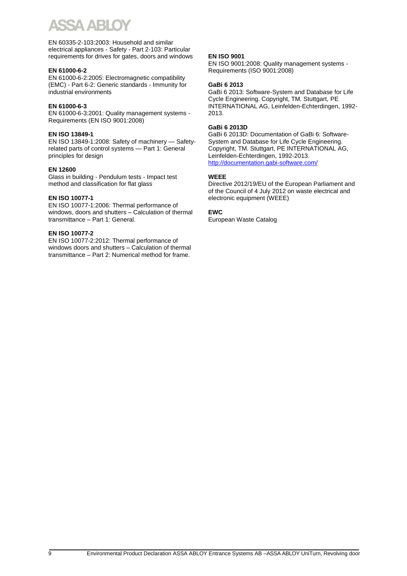EN 60335-2-103:2003: Household and similar electrical appliances - Safety - Part 2-103: Particular requirements for drives for gates, doors and windows

#### **EN 61000-6-2**

EN 61000-6-2:2005: Electromagnetic compatibility (EMC) - Part 6-2: Generic standards - Immunity for industrial environments

#### **EN 61000-6-3**

EN 61000-6-3:2001: Quality management systems - Requirements (EN ISO 9001:2008)

#### **EN ISO 13849-1**

EN ISO 13849-1:2008: Safety of machinery — Safetyrelated parts of control systems — Part 1: General principles for design

#### **EN 12600**

Glass in building - Pendulum tests - Impact test method and classification for flat glass

#### **EN ISO 10077-1**

EN ISO 10077-1:2006: Thermal performance of windows, doors and shutters – Calculation of thermal transmittance – Part 1: General.

#### **EN ISO 10077-2**

EN ISO 10077-2:2012: Thermal performance of windows doors and shutters – Calculation of thermal transmittance – Part 2: Numerical method for frame.

#### **EN ISO 9001**

EN ISO 9001:2008: Quality management systems - Requirements (ISO 9001:2008)

#### **GaBi 6 2013**

GaBi 6 2013: Software-System and Database for Life Cycle Engineering. Copyright, TM. Stuttgart, PE INTERNATIONAL AG, Leinfelden-Echterdingen, 1992- 2013.

#### **GaBi 6 2013D**

GaBi 6 2013D: Documentation of GaBi 6: Software-System and Database for Life Cycle Engineering. Copyright, TM. Stuttgart, PE INTERNATIONAL AG, Leinfelden-Echterdingen, 1992-2013. <http://documentation.gabi-software.com/>

#### **WEEE**

Directive 2012/19/EU of the European Parliament and of the Council of 4 July 2012 on waste electrical and electronic equipment (WEEE)

#### **EWC**

European Waste Catalog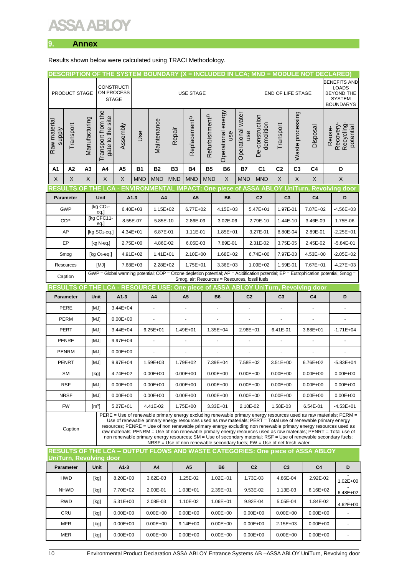### ARI

#### **9. Annex**

Results shown below were calculated using TRACI Methodology.

|                                                                                                                                                                                                                                                                                                                                                                                                                                                                                                                                                                                                                                                                                       |                                                                                                                                                                                                       |               |                                                                                                                                                                                                                                                                                                                                                                                                                                                                                                                                                                                                                                                                    |                                                                                    |                      | DESCRIPTION OF THE SYSTEM BOUNDARY (X = INCLUDED IN LCA; MND = MODULE NOT DECLARED) |                |                                                                    |                             |                           |                      |                                     |                               |                |                      |                           |                                                        |                                      |
|---------------------------------------------------------------------------------------------------------------------------------------------------------------------------------------------------------------------------------------------------------------------------------------------------------------------------------------------------------------------------------------------------------------------------------------------------------------------------------------------------------------------------------------------------------------------------------------------------------------------------------------------------------------------------------------|-------------------------------------------------------------------------------------------------------------------------------------------------------------------------------------------------------|---------------|--------------------------------------------------------------------------------------------------------------------------------------------------------------------------------------------------------------------------------------------------------------------------------------------------------------------------------------------------------------------------------------------------------------------------------------------------------------------------------------------------------------------------------------------------------------------------------------------------------------------------------------------------------------------|------------------------------------------------------------------------------------|----------------------|-------------------------------------------------------------------------------------|----------------|--------------------------------------------------------------------|-----------------------------|---------------------------|----------------------|-------------------------------------|-------------------------------|----------------|----------------------|---------------------------|--------------------------------------------------------|--------------------------------------|
| <b>CONSTRUCTI</b>                                                                                                                                                                                                                                                                                                                                                                                                                                                                                                                                                                                                                                                                     |                                                                                                                                                                                                       |               |                                                                                                                                                                                                                                                                                                                                                                                                                                                                                                                                                                                                                                                                    |                                                                                    |                      |                                                                                     |                |                                                                    |                             |                           |                      | <b>BENEFITS AND</b><br><b>LOADS</b> |                               |                |                      |                           |                                                        |                                      |
|                                                                                                                                                                                                                                                                                                                                                                                                                                                                                                                                                                                                                                                                                       | PRODUCT STAGE                                                                                                                                                                                         |               | ON PROCESS<br><b>STAGE</b>                                                                                                                                                                                                                                                                                                                                                                                                                                                                                                                                                                                                                                         |                                                                                    | <b>USE STAGE</b>     |                                                                                     |                |                                                                    |                             |                           |                      |                                     | <b>END OF LIFE STAGE</b>      |                |                      |                           | <b>BEYOND THE</b><br><b>SYSTEM</b><br><b>BOUNDARYS</b> |                                      |
| Raw materia<br>supply                                                                                                                                                                                                                                                                                                                                                                                                                                                                                                                                                                                                                                                                 | Transport                                                                                                                                                                                             | Manufacturing | Transport from the<br>gate to the site                                                                                                                                                                                                                                                                                                                                                                                                                                                                                                                                                                                                                             | Assembly                                                                           | Use                  | Maintenance                                                                         | Repair         | Replacement <sup>1)</sup>                                          | Refurbishment <sup>1)</sup> | Operational energy<br>use | Operational water    | use                                 | De-construction<br>demolition | Transport      | Waste processing     | Disposal                  | Reuse-                                                 | Recovery-<br>Recycling-<br>potential |
| A1                                                                                                                                                                                                                                                                                                                                                                                                                                                                                                                                                                                                                                                                                    | A2                                                                                                                                                                                                    | A3            | A4                                                                                                                                                                                                                                                                                                                                                                                                                                                                                                                                                                                                                                                                 | А5                                                                                 | <b>B1</b>            | B2                                                                                  | <b>B3</b>      | <b>B4</b>                                                          | <b>B5</b>                   | <b>B6</b>                 |                      | <b>B7</b>                           | C <sub>1</sub>                | C <sub>2</sub> | C <sub>3</sub>       | C <sub>4</sub>            | D                                                      |                                      |
| X                                                                                                                                                                                                                                                                                                                                                                                                                                                                                                                                                                                                                                                                                     | X                                                                                                                                                                                                     | X             | X                                                                                                                                                                                                                                                                                                                                                                                                                                                                                                                                                                                                                                                                  | Χ                                                                                  | <b>MND</b>           | <b>MND</b>                                                                          | <b>MND</b>     | <b>MND</b>                                                         | <b>MND</b>                  | X                         |                      | <b>MND</b>                          | <b>MND</b>                    | X              | X                    | X                         |                                                        | X                                    |
|                                                                                                                                                                                                                                                                                                                                                                                                                                                                                                                                                                                                                                                                                       |                                                                                                                                                                                                       |               |                                                                                                                                                                                                                                                                                                                                                                                                                                                                                                                                                                                                                                                                    |                                                                                    |                      |                                                                                     |                | RESULTS OF THE LCA - ENVIRONMENTAL IMPACT: One piece of ASSA ABLOY |                             |                           |                      |                                     |                               |                |                      | C <sub>4</sub>            |                                                        | <b>UniTurn, Revolving door</b>       |
|                                                                                                                                                                                                                                                                                                                                                                                                                                                                                                                                                                                                                                                                                       | <b>Parameter</b>                                                                                                                                                                                      |               | Unit                                                                                                                                                                                                                                                                                                                                                                                                                                                                                                                                                                                                                                                               |                                                                                    | $A1-3$               | A <sub>4</sub>                                                                      |                | A <sub>5</sub>                                                     |                             | <b>B6</b>                 |                      |                                     | C <sub>2</sub>                |                | C <sub>3</sub>       |                           |                                                        | D                                    |
|                                                                                                                                                                                                                                                                                                                                                                                                                                                                                                                                                                                                                                                                                       | <b>GWP</b>                                                                                                                                                                                            |               | [kg CO <sub>2</sub> -<br>eq.]                                                                                                                                                                                                                                                                                                                                                                                                                                                                                                                                                                                                                                      |                                                                                    | $6.40E + 03$         |                                                                                     | 1.15E+02       |                                                                    | 6.77E+02                    |                           | $4.15E + 03$         |                                     | $5.47E + 01$                  |                | 1.97E-01             |                           | 7.87E+02                                               | $-4.56E + 03$                        |
| ODP                                                                                                                                                                                                                                                                                                                                                                                                                                                                                                                                                                                                                                                                                   |                                                                                                                                                                                                       |               | [kg CFC11-<br>eq.                                                                                                                                                                                                                                                                                                                                                                                                                                                                                                                                                                                                                                                  |                                                                                    | 8.55E-07             |                                                                                     | 5.85E-10       |                                                                    | 2.86E-09                    |                           | 3.02E-06             |                                     | 2.79E-10                      | 1.44E-10       |                      | 3.46E-09                  |                                                        | 1.75E-06                             |
| AP                                                                                                                                                                                                                                                                                                                                                                                                                                                                                                                                                                                                                                                                                    |                                                                                                                                                                                                       |               | $[kg SO2-eq.]$                                                                                                                                                                                                                                                                                                                                                                                                                                                                                                                                                                                                                                                     |                                                                                    | 4.34E+01<br>6.87E-01 |                                                                                     |                | 1.11E-01                                                           |                             | $1.85E + 01$              |                      |                                     | 3.27E-01                      |                | 8.80E-04             | 2.89E-01                  |                                                        | $-2.25E + 01$                        |
|                                                                                                                                                                                                                                                                                                                                                                                                                                                                                                                                                                                                                                                                                       | EP                                                                                                                                                                                                    |               | [kg N-eq.]                                                                                                                                                                                                                                                                                                                                                                                                                                                                                                                                                                                                                                                         |                                                                                    | 2.75E+00             | 4.86E-02                                                                            |                |                                                                    | 6.05E-03                    |                           | 7.89E-01             |                                     | 2.31E-02                      | 3.75E-05       |                      | 2.45E-02                  |                                                        | $-5.84E - 01$                        |
| Smog                                                                                                                                                                                                                                                                                                                                                                                                                                                                                                                                                                                                                                                                                  |                                                                                                                                                                                                       |               | [kg $O_3$ -eq.]                                                                                                                                                                                                                                                                                                                                                                                                                                                                                                                                                                                                                                                    |                                                                                    | 4.91E+02             | $1.41E + 01$                                                                        |                | 2.10E+00                                                           |                             | 1.68E+02                  |                      |                                     | $6.74E + 00$                  | 7.97E-03       |                      | 4.53E+00                  |                                                        | $-2.05E + 02$                        |
| Resources                                                                                                                                                                                                                                                                                                                                                                                                                                                                                                                                                                                                                                                                             |                                                                                                                                                                                                       |               | [MJ]                                                                                                                                                                                                                                                                                                                                                                                                                                                                                                                                                                                                                                                               |                                                                                    | 7.68E+03             | 2.28E+02                                                                            |                | 1.75E+01                                                           |                             | 3.36E+03                  |                      |                                     | 1.09E+02                      | 1.59E-01       |                      | 7.67E+01                  |                                                        | $-4.27E + 03$                        |
|                                                                                                                                                                                                                                                                                                                                                                                                                                                                                                                                                                                                                                                                                       | GWP = Global warming potential; ODP = Ozone depletion potential; $AP =$ Acidification potential; $EP =$ Eutrophication potential; Smog =<br>Caption<br>Smog, air; Resources = Resources, fossil fuels |               |                                                                                                                                                                                                                                                                                                                                                                                                                                                                                                                                                                                                                                                                    |                                                                                    |                      |                                                                                     |                |                                                                    |                             |                           |                      |                                     |                               |                |                      |                           |                                                        |                                      |
|                                                                                                                                                                                                                                                                                                                                                                                                                                                                                                                                                                                                                                                                                       |                                                                                                                                                                                                       |               |                                                                                                                                                                                                                                                                                                                                                                                                                                                                                                                                                                                                                                                                    | RESULTS OF THE LCA - RESOURCE USE: One piece of ASSA ABLOY UniTurn, Revolving door |                      |                                                                                     |                |                                                                    |                             |                           |                      |                                     |                               |                |                      |                           |                                                        |                                      |
|                                                                                                                                                                                                                                                                                                                                                                                                                                                                                                                                                                                                                                                                                       | <b>Parameter</b>                                                                                                                                                                                      |               | Unit                                                                                                                                                                                                                                                                                                                                                                                                                                                                                                                                                                                                                                                               | $A1-3$                                                                             |                      | A4                                                                                  |                | A <sub>5</sub>                                                     | B <sub>6</sub>              |                           |                      | C <sub>2</sub>                      |                               | C <sub>3</sub> |                      | C <sub>4</sub>            |                                                        | D                                    |
|                                                                                                                                                                                                                                                                                                                                                                                                                                                                                                                                                                                                                                                                                       | PERE                                                                                                                                                                                                  |               | [MJ]                                                                                                                                                                                                                                                                                                                                                                                                                                                                                                                                                                                                                                                               | 3.44E+04                                                                           |                      | ÷,<br>÷,                                                                            |                |                                                                    | $\overline{a}$              |                           |                      | ÷,                                  |                               |                |                      | ÷,                        |                                                        |                                      |
|                                                                                                                                                                                                                                                                                                                                                                                                                                                                                                                                                                                                                                                                                       | PERM                                                                                                                                                                                                  |               | [MJ]                                                                                                                                                                                                                                                                                                                                                                                                                                                                                                                                                                                                                                                               | $0.00E + 00$                                                                       |                      |                                                                                     |                |                                                                    |                             |                           |                      |                                     |                               |                |                      |                           |                                                        |                                      |
|                                                                                                                                                                                                                                                                                                                                                                                                                                                                                                                                                                                                                                                                                       | <b>PERT</b>                                                                                                                                                                                           |               | [MJ]                                                                                                                                                                                                                                                                                                                                                                                                                                                                                                                                                                                                                                                               | 3.44E+04                                                                           |                      | $6.25E + 01$                                                                        | 1.49E+01       |                                                                    |                             | 1.35E+04                  |                      |                                     | 2.98E+01                      |                | 6.41E-01             | 3.88E+01                  |                                                        | $-1.71E + 04$                        |
|                                                                                                                                                                                                                                                                                                                                                                                                                                                                                                                                                                                                                                                                                       | <b>PENRE</b>                                                                                                                                                                                          |               | [MJ]                                                                                                                                                                                                                                                                                                                                                                                                                                                                                                                                                                                                                                                               | $9.97E + 04$                                                                       |                      |                                                                                     | $\blacksquare$ |                                                                    |                             | $\blacksquare$            |                      | ÷,                                  |                               |                |                      | ÷,                        |                                                        |                                      |
|                                                                                                                                                                                                                                                                                                                                                                                                                                                                                                                                                                                                                                                                                       | <b>PENRM</b>                                                                                                                                                                                          |               | [MJ]                                                                                                                                                                                                                                                                                                                                                                                                                                                                                                                                                                                                                                                               | $0.00E + 00$                                                                       |                      |                                                                                     |                |                                                                    |                             |                           |                      |                                     |                               |                |                      |                           |                                                        |                                      |
|                                                                                                                                                                                                                                                                                                                                                                                                                                                                                                                                                                                                                                                                                       | <b>PENRT</b>                                                                                                                                                                                          |               | [MJ]                                                                                                                                                                                                                                                                                                                                                                                                                                                                                                                                                                                                                                                               | 9.97E+04                                                                           |                      | 1.59E+03                                                                            |                | 1.79E+02                                                           |                             | 7.39E+04                  | 7.58E+02<br>3.51E+00 |                                     |                               | 6.76E+02       |                      | $-5.83E + 04$             |                                                        |                                      |
|                                                                                                                                                                                                                                                                                                                                                                                                                                                                                                                                                                                                                                                                                       | SM                                                                                                                                                                                                    |               | $[kg] % \begin{center} % \includegraphics[width=\linewidth]{imagesSupplemental_3.png} % \end{center} % \caption { % \textit{DefNet} of the \textit{DefNet} dataset. % Note that the \textit{DefNet} and \textit{DefNet} dataset. % Note that the \textit{DefNet} and \textit{DefNet} dataset. % Note that the \textit{DefNet} and \textit{DefNet} dataset. % Note that the \textit{DefNet} and \textit{DefNet} dataset. % Note that the \textit{DefNet} and \textit{DefNet} dataset. % Note that the \textit{DefNet} and \textit{DefNet} dataset. % Note that the \textit{DefNet} and \textit{DefNet} dataset. % Note that the \textit{DefNet} and \textit{DefNet$ | 4.74E+02                                                                           |                      | $0.00E + 00$                                                                        |                | $0.00E + 00$                                                       |                             | $0.00E + 00$              |                      | $0.00E + 00$                        |                               | $0.00E + 00$   |                      | $0.00E + 00$              |                                                        | $0.00E + 00$                         |
|                                                                                                                                                                                                                                                                                                                                                                                                                                                                                                                                                                                                                                                                                       | <b>RSF</b>                                                                                                                                                                                            |               | [MJ]                                                                                                                                                                                                                                                                                                                                                                                                                                                                                                                                                                                                                                                               | $0.00E + 00$                                                                       |                      | $0.00E + 00$                                                                        | $0.00E + 00$   |                                                                    |                             | $0.00E + 00$              |                      | $0.00E + 00$                        |                               | $0.00E + 00$   |                      | $0.00E + 00$              |                                                        | $0.00E + 00$                         |
|                                                                                                                                                                                                                                                                                                                                                                                                                                                                                                                                                                                                                                                                                       | <b>NRSF</b>                                                                                                                                                                                           |               | [MJ]                                                                                                                                                                                                                                                                                                                                                                                                                                                                                                                                                                                                                                                               | $0.00E + 00$                                                                       |                      | $0.00E + 00$                                                                        |                | $0.00E + 00$                                                       |                             | $0.00E + 00$              |                      | $0.00E + 00$                        |                               | $0.00E + 00$   |                      | $0.00E + 00$              |                                                        | $0.00E + 00$                         |
|                                                                                                                                                                                                                                                                                                                                                                                                                                                                                                                                                                                                                                                                                       | <b>FW</b><br>$\lceil m^3 \rceil$                                                                                                                                                                      |               |                                                                                                                                                                                                                                                                                                                                                                                                                                                                                                                                                                                                                                                                    | 5.27E+01                                                                           |                      | 4.41E-02                                                                            |                | 1.75E+00                                                           | 3.33E+01                    |                           |                      | 2.10E-02                            |                               | 1.58E-03       |                      | 6.54E-01<br>$-4.53E + 01$ |                                                        |                                      |
| PERE = Use of renewable primary energy excluding renewable primary energy resources used as raw materials; PERM =<br>Use of renewable primary energy resources used as raw materials; PERT = Total use of renewable primary energy<br>resources; PENRE = Use of non renewable primary energy excluding non renewable primary energy resources used as<br>Caption<br>raw materials; PENRM = Use of non renewable primary energy resources used as raw materials; PENRT = Total use of<br>non renewable primary energy resources; SM = Use of secondary material; RSF = Use of renewable secondary fuels;<br>$NRSF = Use of non renewable secondary fuels; FW = Use of net fresh water$ |                                                                                                                                                                                                       |               |                                                                                                                                                                                                                                                                                                                                                                                                                                                                                                                                                                                                                                                                    |                                                                                    |                      |                                                                                     |                |                                                                    |                             |                           |                      |                                     |                               |                |                      |                           |                                                        |                                      |
| <b>RESULTS OF THE LCA - OUTPUT FLOWS AND WASTE CATEGORIES: One piece of ASSA ABLOY</b><br><b>UniTurn, Revolving door</b>                                                                                                                                                                                                                                                                                                                                                                                                                                                                                                                                                              |                                                                                                                                                                                                       |               |                                                                                                                                                                                                                                                                                                                                                                                                                                                                                                                                                                                                                                                                    |                                                                                    |                      |                                                                                     |                |                                                                    |                             |                           |                      |                                     |                               |                |                      |                           |                                                        |                                      |
|                                                                                                                                                                                                                                                                                                                                                                                                                                                                                                                                                                                                                                                                                       | Parameter                                                                                                                                                                                             |               | Unit                                                                                                                                                                                                                                                                                                                                                                                                                                                                                                                                                                                                                                                               | $A1-3$                                                                             |                      | A4                                                                                  |                | A <sub>5</sub>                                                     |                             | B <sub>6</sub>            |                      | C <sub>2</sub>                      |                               | C <sub>3</sub> |                      | C <sub>4</sub>            |                                                        | D                                    |
|                                                                                                                                                                                                                                                                                                                                                                                                                                                                                                                                                                                                                                                                                       | <b>HWD</b>                                                                                                                                                                                            |               | [kg]                                                                                                                                                                                                                                                                                                                                                                                                                                                                                                                                                                                                                                                               | 8.20E+00                                                                           |                      | 3.62E-03                                                                            |                | 1.25E-02                                                           |                             | $1.02E + 01$              |                      |                                     | 1.73E-03                      |                | 2.92E-02<br>4.86E-04 |                           |                                                        | $1.02E + 00$                         |
|                                                                                                                                                                                                                                                                                                                                                                                                                                                                                                                                                                                                                                                                                       | <b>NHWD</b><br>[kg]                                                                                                                                                                                   |               |                                                                                                                                                                                                                                                                                                                                                                                                                                                                                                                                                                                                                                                                    | 7.70E+02                                                                           |                      | 2.00E-01                                                                            |                | $1.03E + 01$                                                       |                             | 2.39E+01                  |                      | 9.53E-02                            |                               | 1.13E-03       |                      | 6.16E+02                  |                                                        | 6.48E+02                             |
| <b>RWD</b>                                                                                                                                                                                                                                                                                                                                                                                                                                                                                                                                                                                                                                                                            |                                                                                                                                                                                                       |               | [kg]                                                                                                                                                                                                                                                                                                                                                                                                                                                                                                                                                                                                                                                               | 5.31E+00                                                                           |                      | 2.08E-03                                                                            |                | 1.10E-02                                                           |                             | 1.06E+01                  |                      | 9.92E-04                            |                               | 5.05E-04       | 1.84E-02             |                           |                                                        | 4.62E+00                             |

CRU | [kg] | 0.00E+00 | 0.00E+00 | 0.00E+00 | 0.00E+00 | 0.00E+00 | 0.00E+00 | -MFR | [kg] | 0.00E+00 | 0.00E+00 | 9.14E+00 | 0.00E+00 | 0.00E+00 | 2.15E+03 | 0.00E+00 | -MER | [kg] | 0.00E+00 | 0.00E+00 | 0.00E+00 | 0.00E+00 | 0.00E+00 | 0.00E+00 | -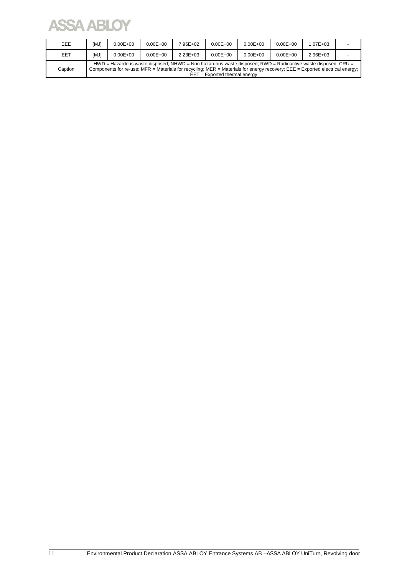# **ASSA ABLOY**

| EEE     | [MJ]                                                                                                                                                                                                                                                                              | $0.00E + 00$ | $0.00E + 00$ | 7.96E+02      | $0.00E + 00$ | $0.00E + 00$ | $0.00E + 00$ | $1.07E + 0.3$ |  |  |
|---------|-----------------------------------------------------------------------------------------------------------------------------------------------------------------------------------------------------------------------------------------------------------------------------------|--------------|--------------|---------------|--------------|--------------|--------------|---------------|--|--|
| EET     | [MJ]                                                                                                                                                                                                                                                                              | $0.00E + 00$ | $0.00E + 00$ | $2.23E + 0.3$ | $0.00E + 00$ | $0.00E + 00$ | $0.00E + 00$ | $2.96E + 03$  |  |  |
| Caption | $HWD =$ Hazardous waste disposed; NHWD = Non hazardous waste disposed; RWD = Radioactive waste disposed; CRU =<br>Components for re-use; MFR = Materials for recycling; MER = Materials for energy recovery; EEE = Exported electrical energy;<br>$EET = Exported thermal energy$ |              |              |               |              |              |              |               |  |  |